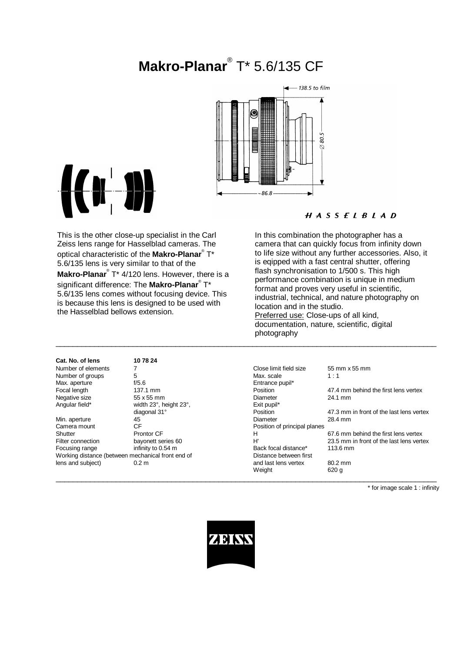# **Makro-Planar**® T\* 5.6/135 CF





the Hasselblad bellows extension.

## $H A S S E L B L A D$

This is the other close-up specialist in the Carl Zeiss lens range for Hasselblad cameras. The optical characteristic of the **Makro-Planar**® T\* 5.6/135 lens is very similar to that of the **Makro-Planar**® T\* 4/120 lens. However, there is a significant difference: The **Makro-Planar**® T\* 5.6/135 lens comes without focusing device. This is because this lens is designed to be used with In this combination the photographer has a camera that can quickly focus from infinity down to life size without any further accessories. Also, it is eqipped with a fast central shutter, offering flash synchronisation to 1/500 s. This high performance combination is unique in medium format and proves very useful in scientific, industrial, technical, and nature photography on location and in the studio. Preferred use: Close-ups of all kind, documentation, nature, scientific, digital photography

\_\_\_\_\_\_\_\_\_\_\_\_\_\_\_\_\_\_\_\_\_\_\_\_\_\_\_\_\_\_\_\_\_\_\_\_\_\_\_\_\_\_\_\_\_\_\_\_\_\_\_\_\_\_\_\_\_\_\_\_\_\_\_\_\_\_\_\_\_\_\_\_\_\_\_\_\_\_\_\_\_\_\_\_\_\_\_\_\_

 $\_$  , and the set of the set of the set of the set of the set of the set of the set of the set of the set of the set of the set of the set of the set of the set of the set of the set of the set of the set of the set of th

**Cat. No. of lens 10 78 24**

Camera mount CF CR CONSERVITY CONSERVITY Position of principal planes<br>
Shutter Prontor CF CR CR CR H Working distance (between mechanical front end of

Max. aperture f/5.6 f/5.6 entrance pupil\*<br>
Focal length focal length for the form of the form of the form of the form of the form of the form of the for<br>
Focal length for the form of the form of the form of the form of the width 23°, height 23°, exit pupidiagonal 31°<br>
Position

Number of elements 7 Close limit field size 55 mm x 55 mm Number of groups 5 5 and 5 Max. scale 1 : 1 47.4 mm behind the first lens vertex Negative size 55 x 55 mm b Diameter 24.1 mm<br>
Angular field\* width 23°, height 23°, theight 23°, theight 23°, theight 23°, theight 23°, the Exit pupil\* diagonal 31° **Position**<br>  $\begin{array}{ccc}\n\text{Dissition} & 47.3 \text{ mm in front of the last lens vertex} \\
\text{Diameter} & 28.4 \text{ mm}\n\end{array}$ Min. aperture **45** 45 CH approximately 128.4 mm Prontor CF **H** 67.6 mm behind the first lens vertex<br>bayonett series 60 H' 23.5 mm in front of the last lens vertex Filter connection bayonett series 60 H' H' 23.5 mm in front of the last lens vertex<br>
Focusing range infinity to 0.54 m Back focal distance\* 113.6 mm Back focal distance\*<br>Distance between first lens and subject) and subject on the U.2 m<br>  $\alpha$  and last lens vertex and subject on the U.2 mm<br>  $\alpha$  and last lens vertex and subject on the U.2 mm Weight

\* for image scale 1 : infinity

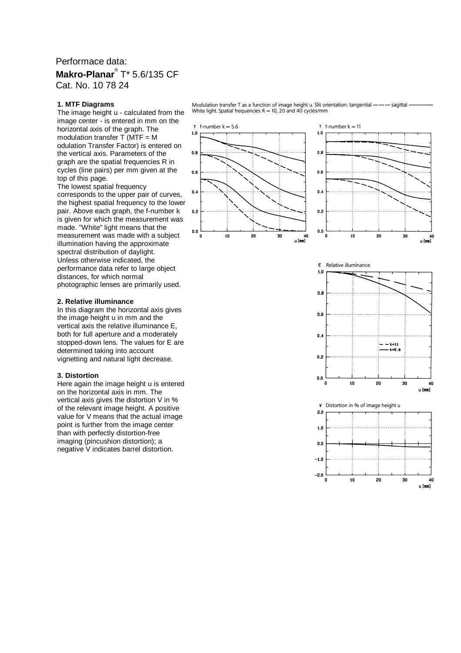## Performace data: **Makro-Planar**® T\* 5.6/135 CF Cat. No. 10 78 24

#### **1. MTF Diagrams**

The image height u - calculated from the image center - is entered in mm on the horizontal axis of the graph. The modulation transfer  $\overline{T}$  (MTF = M odulation Transfer Factor) is entered on the vertical axis. Parameters of the graph are the spatial frequencies R in cycles (line pairs) per mm given at the top of this page.

The lowest spatial frequency corresponds to the upper pair of curves, the highest spatial frequency to the lower pair. Above each graph, the f-number k is given for which the measurement was made. "White" light means that the measurement was made with a subject illumination having the approximate spectral distribution of daylight. Unless otherwise indicated, the performance data refer to large object distances, for which normal photographic lenses are primarily used.

### **2. Relative illuminance**

In this diagram the horizontal axis gives the image height u in mm and the vertical axis the relative illuminance E, both for full aperture and a moderately stopped-down lens. The values for E are determined taking into account vignetting and natural light decrease.

#### **3. Distortion**

Here again the image height u is entered on the horizontal axis in mm. The vertical axis gives the distortion V in % of the relevant image height. A positive value for V means that the actual image point is further from the image center than with perfectly distortion-free imaging (pincushion distortion); a negative V indicates barrel distortion.

Modulation transfer T as a function of image height u. Slit orientation: tangential ---- sagittal White light. Spatial frequencies  $R = 10$ , 20 and 40 cycles/mm







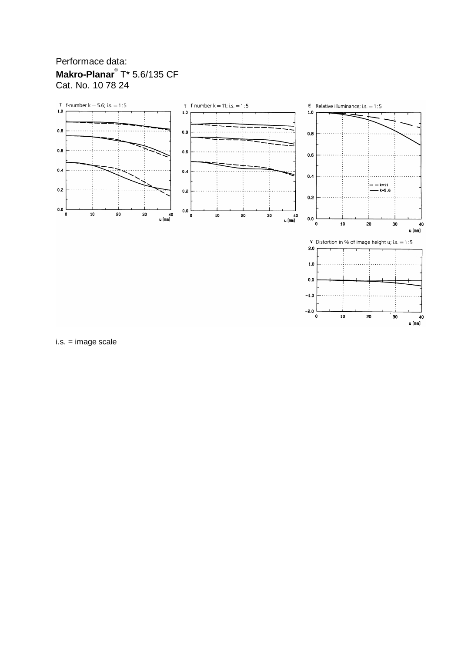# Performace data: Makro-Planar<sup>®</sup> T\* 5.6/135 CF Cat. No. 10 78 24



 $-1.0$  $-2.0$  $\pmb{\mathsf{o}}$ 

 $\overline{10}$ 

20

30

40 u [mm]

i.s. = image scale